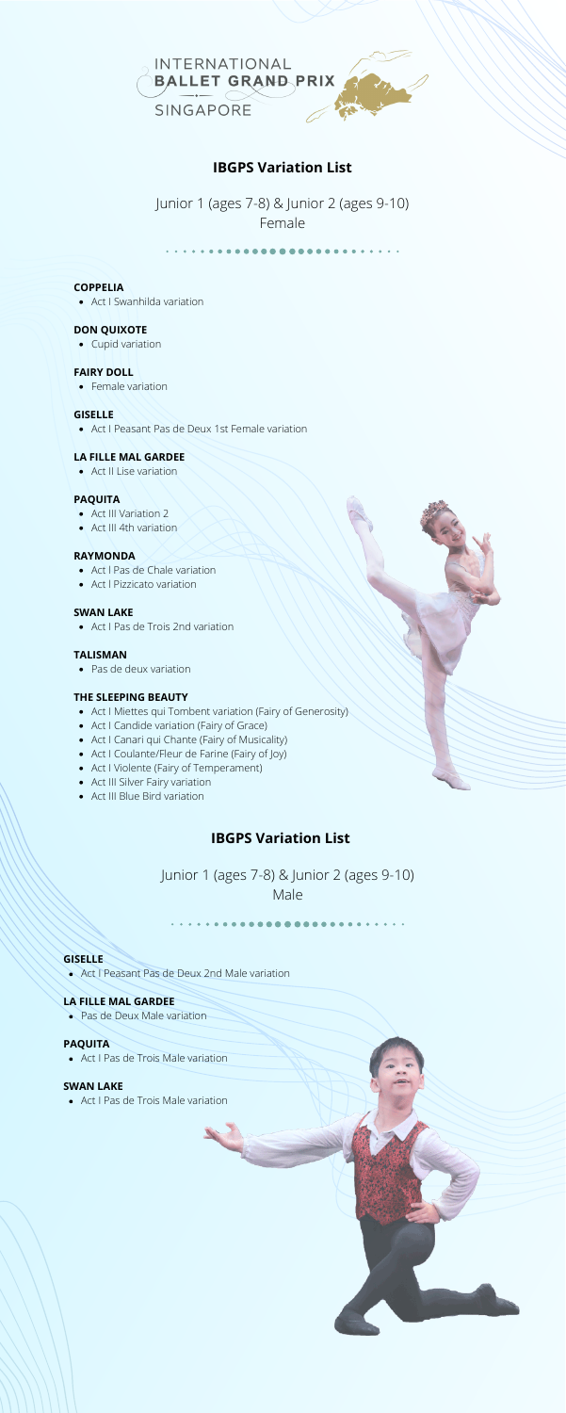Junior 1 (ages 7-8) & Junior 2 (ages 9-10) Female

*<u>AAAAAAA</u>* 



# **IBGPS Variation List**

# Junior 1 (ages 7-8) & Junior 2 (ages 9-10) Male

# **IBGPS Variation List**

Act I Swanhilda variation

- Act III Variation 2
- Act III 4th variation

Act I Peasant Pas de Deux 1st Female variation

Act II Lise variation

- Act l Pas de Chale variation
- Act l Pizzicato variation

Act I Pas de Trois 2nd variation

Pas de deux variation

- Act I Miettes qui Tombent variation (Fairy of Generosity)
- Act I Candide variation (Fairy of Grace)
- Act I Canari qui Chante (Fairy of Musicality)
- Act I Coulante/Fleur de Farine (Fairy of Joy)
- Act I Violente (Fairy of Temperament)
- Act III Silver Fairy variation
- Act III Blue Bird variation

### **COPPELIA**

### **DON QUIXOTE**

• Cupid variation

#### **FAIRY DOLL**

• Female variation

#### **GISELLE**

#### **LA FILLE MAL GARDEE**

#### **PAQUITA**

#### **RAYMONDA**

#### **SWAN LAKE**

#### **TALISMAN**

### **THE SLEEPING BEAUTY**

Act I Peasant Pas de Deux 2nd Male variation

Pas de Deux Male variation

Act I Pas de Trois Male variation

Act I Pas de Trois Male variation

#### **GISELLE**

### **LA FILLE MAL GARDEE**

#### **PAQUITA**

#### **SWAN LAKE**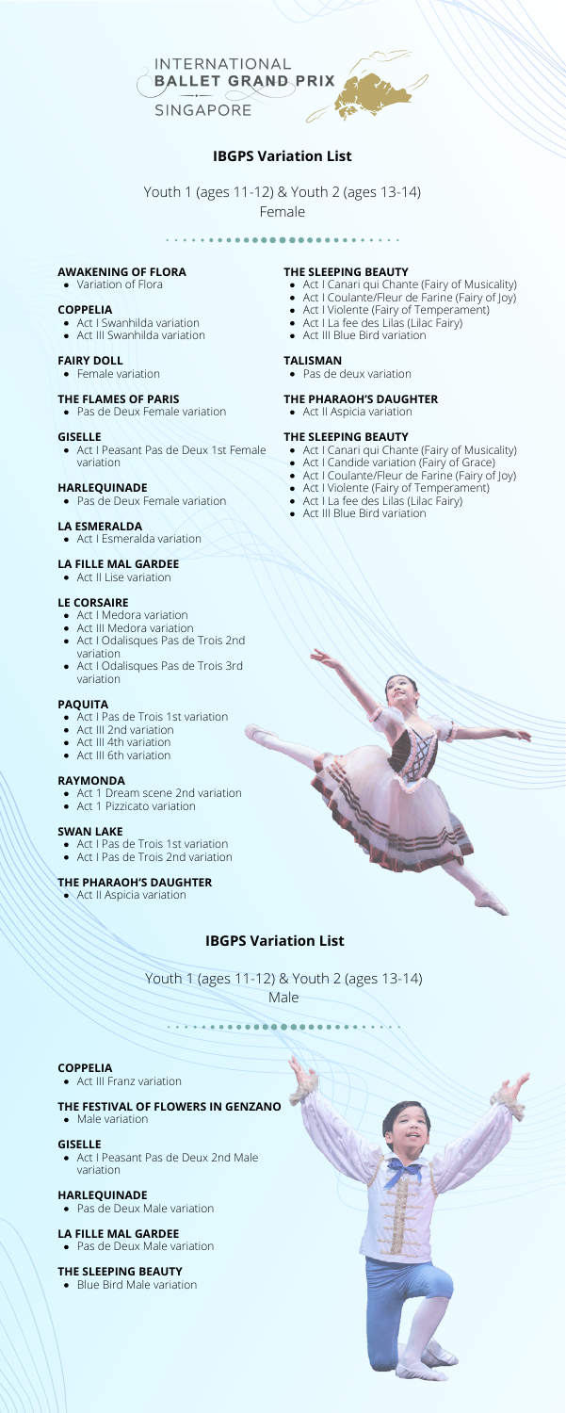Youth 1 (ages 11-12) & Youth 2 (ages 13-14) Female

. . . . . . . . .



# **IBGPS Variation List**

Youth 1 (ages 11-12) & Youth 2 (ages 13-14)

Male

# **IBGPS Variation List**

- Act I Swanhilda variation
- Act III Swanhilda variation

- Act I Pas de Trois 1st variation
- Act III 2nd variation
- Act III 4th variation
- Act III 6th variation

Act I Peasant Pas de Deux 1st Female variation

- Act 1 Dream scene 2nd variation
- Act 1 Pizzicato variation

Pas de Deux Female variation

Act I Esmeralda variation

Act II Lise variation

- Act I Medora variation
- Act III Medora variation
- Act I Odalisques Pas de Trois 2nd variation
- Act I Odalisques Pas de Trois 3rd variation

Act I Pas de Trois 1st variation

- 
- Act I Pas de Trois 2nd variation

# **AWAKENING OF FLORA**

• Variation of Flora

## **COPPELIA**

# **FAIRY DOLL**

• Female variation

## **THE FLAMES OF PARIS**

• Pas de Deux Female variation

### **GISELLE**

# **HARLEQUINADE**

# **LA ESMERALDA**

### **LA FILLE MAL GARDEE**

# **LE CORSAIRE**

# **PAQUITA**

# **RAYMONDA**

# **SWAN LAKE**

# **THE PHARAOH'S DAUGHTER**

**Act II Aspicia variation** 

- Act I Canari qui Chante (Fairy of Musicality)
- Act I Coulante/Fleur de Farine (Fairy of Joy)
- Act I Violente (Fairy of Temperament)
- Act I La fee des Lilas (Lilac Fairy)
- Act III Blue Bird variation

Pas de deux variation

- Act I Canari qui Chante (Fairy of Musicality)
- Act I Candide variation (Fairy of Grace)
- Act I Coulante/Fleur de Farine (Fairy of Joy)
- Act I Violente (Fairy of Temperament)
- Act I La fee des Lilas (Lilac Fairy)
- Act III Blue Bird variation



# **THE SLEEPING BEAUTY**

# **TALISMAN**

# **THE PHARAOH'S DAUGHTER**

• Act II Aspicia variation

# **THE SLEEPING BEAUTY**

Act III Franz variation

Act I Peasant Pas de Deux 2nd Male variation

Pas de Deux Male variation

Pas de Deux Male variation

# **COPPELIA**

# **THE FESTIVAL OF FLOWERS IN GENZANO**

• Male variation

## **GISELLE**

# **HARLEQUINADE**

# **LA FILLE MAL GARDEE**

# **THE SLEEPING BEAUTY**

• Blue Bird Male variation